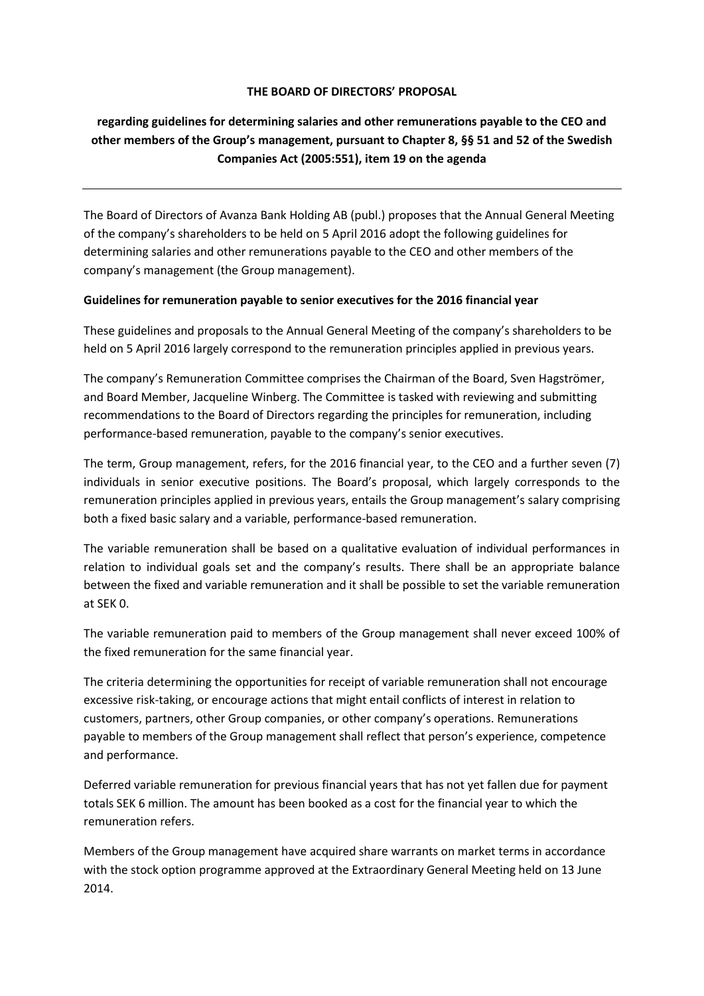## **THE BOARD OF DIRECTORS' PROPOSAL**

## **regarding guidelines for determining salaries and other remunerations payable to the CEO and other members of the Group's management, pursuant to Chapter 8, §§ 51 and 52 of the Swedish Companies Act (2005:551), item 19 on the agenda**

The Board of Directors of Avanza Bank Holding AB (publ.) proposes that the Annual General Meeting of the company's shareholders to be held on 5 April 2016 adopt the following guidelines for determining salaries and other remunerations payable to the CEO and other members of the company's management (the Group management).

## **Guidelines for remuneration payable to senior executives for the 2016 financial year**

These guidelines and proposals to the Annual General Meeting of the company's shareholders to be held on 5 April 2016 largely correspond to the remuneration principles applied in previous years.

The company's Remuneration Committee comprises the Chairman of the Board, Sven Hagströmer, and Board Member, Jacqueline Winberg. The Committee is tasked with reviewing and submitting recommendations to the Board of Directors regarding the principles for remuneration, including performance-based remuneration, payable to the company's senior executives.

The term, Group management, refers, for the 2016 financial year, to the CEO and a further seven (7) individuals in senior executive positions. The Board's proposal, which largely corresponds to the remuneration principles applied in previous years, entails the Group management's salary comprising both a fixed basic salary and a variable, performance-based remuneration.

The variable remuneration shall be based on a qualitative evaluation of individual performances in relation to individual goals set and the company's results. There shall be an appropriate balance between the fixed and variable remuneration and it shall be possible to set the variable remuneration at SEK 0.

The variable remuneration paid to members of the Group management shall never exceed 100% of the fixed remuneration for the same financial year.

The criteria determining the opportunities for receipt of variable remuneration shall not encourage excessive risk-taking, or encourage actions that might entail conflicts of interest in relation to customers, partners, other Group companies, or other company's operations. Remunerations payable to members of the Group management shall reflect that person's experience, competence and performance.

Deferred variable remuneration for previous financial years that has not yet fallen due for payment totals SEK 6 million. The amount has been booked as a cost for the financial year to which the remuneration refers.

Members of the Group management have acquired share warrants on market terms in accordance with the stock option programme approved at the Extraordinary General Meeting held on 13 June 2014.